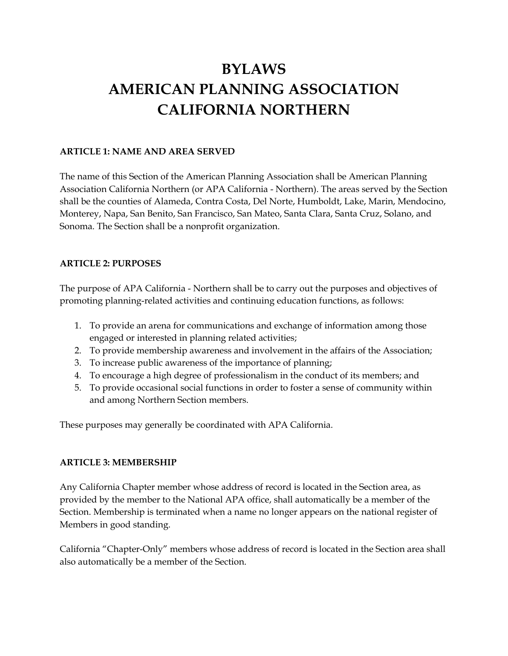# **BYLAWS AMERICAN PLANNING ASSOCIATION CALIFORNIA NORTHERN**

## **ARTICLE 1: NAME AND AREA SERVED**

The name of this Section of the American Planning Association shall be American Planning Association California Northern (or APA California - Northern). The areas served by the Section shall be the counties of Alameda, Contra Costa, Del Norte, Humboldt, Lake, Marin, Mendocino, Monterey, Napa, San Benito, San Francisco, San Mateo, Santa Clara, Santa Cruz, Solano, and Sonoma. The Section shall be a nonprofit organization.

## **ARTICLE 2: PURPOSES**

The purpose of APA California - Northern shall be to carry out the purposes and objectives of promoting planning-related activities and continuing education functions, as follows:

- 1. To provide an arena for communications and exchange of information among those engaged or interested in planning related activities;
- 2. To provide membership awareness and involvement in the affairs of the Association;
- 3. To increase public awareness of the importance of planning;
- 4. To encourage a high degree of professionalism in the conduct of its members; and
- 5. To provide occasional social functions in order to foster a sense of community within and among Northern Section members.

These purposes may generally be coordinated with APA California.

# **ARTICLE 3: MEMBERSHIP**

Any California Chapter member whose address of record is located in the Section area, as provided by the member to the National APA office, shall automatically be a member of the Section. Membership is terminated when a name no longer appears on the national register of Members in good standing.

California "Chapter-Only" members whose address of record is located in the Section area shall also automatically be a member of the Section.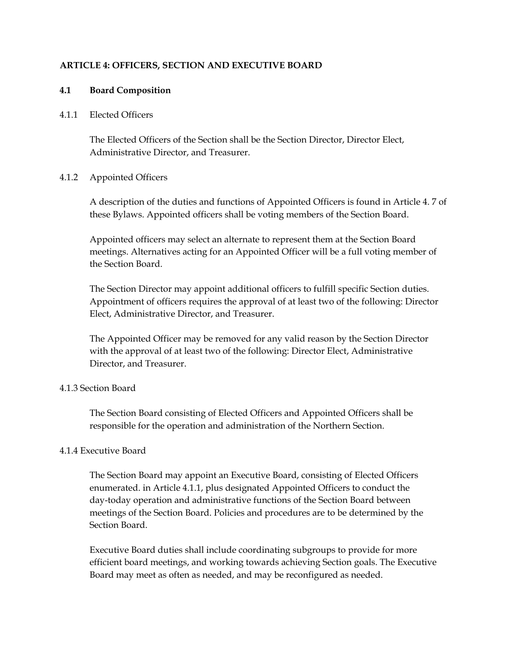#### **ARTICLE 4: OFFICERS, SECTION AND EXECUTIVE BOARD**

#### **4.1 Board Composition**

#### 4.1.1 Elected Officers

The Elected Officers of the Section shall be the Section Director, Director Elect, Administrative Director, and Treasurer.

#### 4.1.2 Appointed Officers

A description of the duties and functions of Appointed Officers is found in Article 4. 7 of these Bylaws. Appointed officers shall be voting members of the Section Board.

Appointed officers may select an alternate to represent them at the Section Board meetings. Alternatives acting for an Appointed Officer will be a full voting member of the Section Board.

The Section Director may appoint additional officers to fulfill specific Section duties. Appointment of officers requires the approval of at least two of the following: Director Elect, Administrative Director, and Treasurer.

The Appointed Officer may be removed for any valid reason by the Section Director with the approval of at least two of the following: Director Elect, Administrative Director, and Treasurer.

## 4.1.3 Section Board

The Section Board consisting of Elected Officers and Appointed Officers shall be responsible for the operation and administration of the Northern Section.

## 4.1.4 Executive Board

The Section Board may appoint an Executive Board, consisting of Elected Officers enumerated. in Article 4.1.1, plus designated Appointed Officers to conduct the day-today operation and administrative functions of the Section Board between meetings of the Section Board. Policies and procedures are to be determined by the Section Board.

Executive Board duties shall include coordinating subgroups to provide for more efficient board meetings, and working towards achieving Section goals. The Executive Board may meet as often as needed, and may be reconfigured as needed.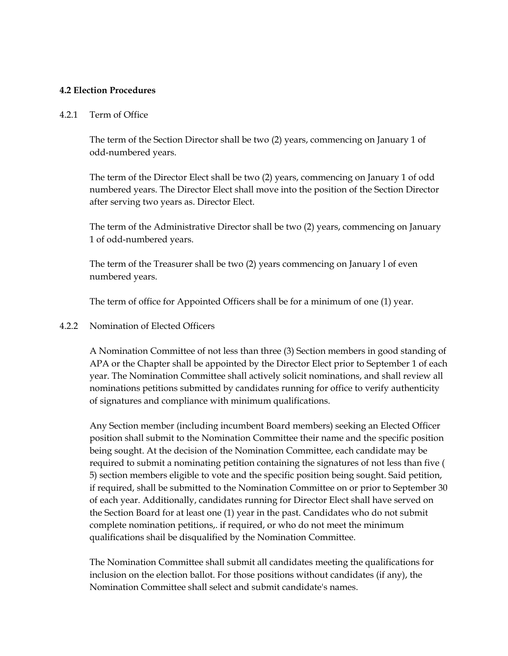#### **4.2 Election Procedures**

#### 4.2.1 Term of Office

The term of the Section Director shall be two (2) years, commencing on January 1 of odd-numbered years.

The term of the Director Elect shall be two (2) years, commencing on January 1 of odd numbered years. The Director Elect shall move into the position of the Section Director after serving two years as. Director Elect.

The term of the Administrative Director shall be two (2) years, commencing on January 1 of odd-numbered years.

The term of the Treasurer shall be two (2) years commencing on January l of even numbered years.

The term of office for Appointed Officers shall be for a minimum of one (1) year.

## 4.2.2 Nomination of Elected Officers

A Nomination Committee of not less than three (3) Section members in good standing of APA or the Chapter shall be appointed by the Director Elect prior to September 1 of each year. The Nomination Committee shall actively solicit nominations, and shall review all nominations petitions submitted by candidates running for office to verify authenticity of signatures and compliance with minimum qualifications.

Any Section member (including incumbent Board members) seeking an Elected Officer position shall submit to the Nomination Committee their name and the specific position being sought. At the decision of the Nomination Committee, each candidate may be required to submit a nominating petition containing the signatures of not less than five ( 5) section members eligible to vote and the specific position being sought. Said petition, if required, shall be submitted to the Nomination Committee on or prior to September 30 of each year. Additionally, candidates running for Director Elect shall have served on the Section Board for at least one (1) year in the past. Candidates who do not submit complete nomination petitions,. if required, or who do not meet the minimum qualifications shail be disqualified by the Nomination Committee.

The Nomination Committee shall submit all candidates meeting the qualifications for inclusion on the election ballot. For those positions without candidates (if any), the Nomination Committee shall select and submit candidate's names.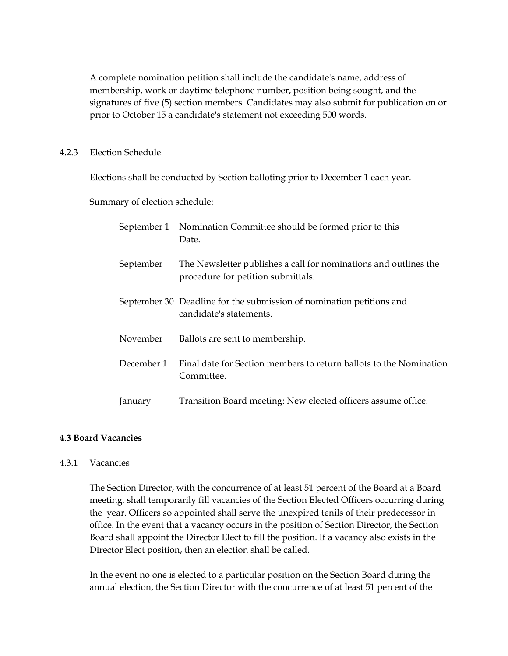A complete nomination petition shall include the candidate's name, address of membership, work or daytime telephone number, position being sought, and the signatures of five (5) section members. Candidates may also submit for publication on or prior to October 15 a candidate's statement not exceeding 500 words.

#### 4.2.3 Election Schedule

Elections shall be conducted by Section balloting prior to December 1 each year.

Summary of election schedule:

|            | September 1 Nomination Committee should be formed prior to this<br>Date.                               |
|------------|--------------------------------------------------------------------------------------------------------|
| September  | The Newsletter publishes a call for nominations and outlines the<br>procedure for petition submittals. |
|            | September 30 Deadline for the submission of nomination petitions and<br>candidate's statements.        |
| November   | Ballots are sent to membership.                                                                        |
| December 1 | Final date for Section members to return ballots to the Nomination<br>Committee.                       |
| January    | Transition Board meeting: New elected officers assume office.                                          |

## **4.3 Board Vacancies**

#### 4.3.1 Vacancies

The Section Director, with the concurrence of at least 51 percent of the Board at a Board meeting, shall temporarily fill vacancies of the Section Elected Officers occurring during the year. Officers so appointed shall serve the unexpired tenils of their predecessor in office. In the event that a vacancy occurs in the position of Section Director, the Section Board shall appoint the Director Elect to fill the position. If a vacancy also exists in the Director Elect position, then an election shall be called.

In the event no one is elected to a particular position on the Section Board during the annual election, the Section Director with the concurrence of at least 51 percent of the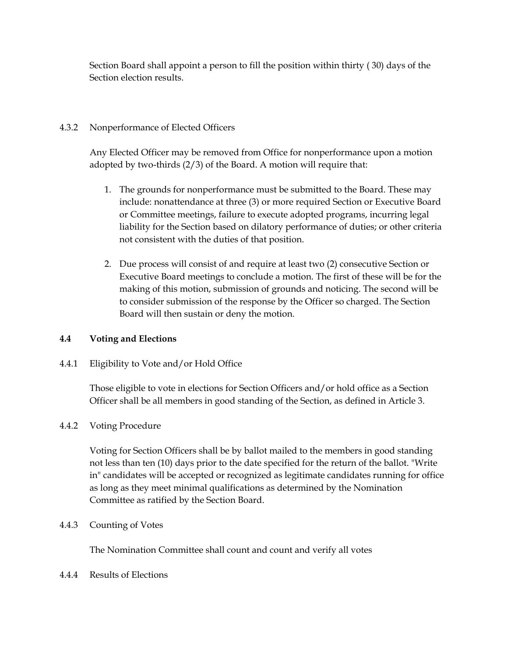Section Board shall appoint a person to fill the position within thirty ( 30) days of the Section election results.

# 4.3.2 Nonperformance of Elected Officers

Any Elected Officer may be removed from Office for nonperformance upon a motion adopted by two-thirds (2/3) of the Board. A motion will require that:

- 1. The grounds for nonperformance must be submitted to the Board. These may include: nonattendance at three (3) or more required Section or Executive Board or Committee meetings, failure to execute adopted programs, incurring legal liability for the Section based on dilatory performance of duties; or other criteria not consistent with the duties of that position.
- 2. Due process will consist of and require at least two (2) consecutive Section or Executive Board meetings to conclude a motion. The first of these will be for the making of this motion, submission of grounds and noticing. The second will be to consider submission of the response by the Officer so charged. The Section Board will then sustain or deny the motion.

# **4.4 Voting and Elections**

4.4.1 Eligibility to Vote and/or Hold Office

Those eligible to vote in elections for Section Officers and/or hold office as a Section Officer shall be all members in good standing of the Section, as defined in Article 3.

# 4.4.2 Voting Procedure

Voting for Section Officers shall be by ballot mailed to the members in good standing not less than ten (10) days prior to the date specified for the return of the ballot. "Write in" candidates will be accepted or recognized as legitimate candidates running for office as long as they meet minimal qualifications as determined by the Nomination Committee as ratified by the Section Board.

# 4.4.3 Counting of Votes

The Nomination Committee shall count and count and verify all votes

# 4.4.4 Results of Elections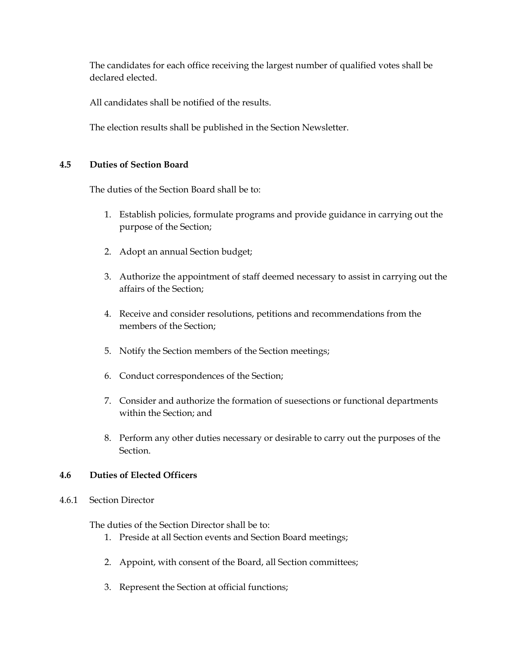The candidates for each office receiving the largest number of qualified votes shall be declared elected.

All candidates shall be notified of the results.

The election results shall be published in the Section Newsletter.

## **4.5 Duties of Section Board**

The duties of the Section Board shall be to:

- 1. Establish policies, formulate programs and provide guidance in carrying out the purpose of the Section;
- 2. Adopt an annual Section budget;
- 3. Authorize the appointment of staff deemed necessary to assist in carrying out the affairs of the Section;
- 4. Receive and consider resolutions, petitions and recommendations from the members of the Section;
- 5. Notify the Section members of the Section meetings;
- 6. Conduct correspondences of the Section;
- 7. Consider and authorize the formation of suesections or functional departments within the Section; and
- 8. Perform any other duties necessary or desirable to carry out the purposes of the Section.

## **4.6 Duties of Elected Officers**

## 4.6.1 Section Director

The duties of the Section Director shall be to:

- 1. Preside at all Section events and Section Board meetings;
- 2. Appoint, with consent of the Board, all Section committees;
- 3. Represent the Section at official functions;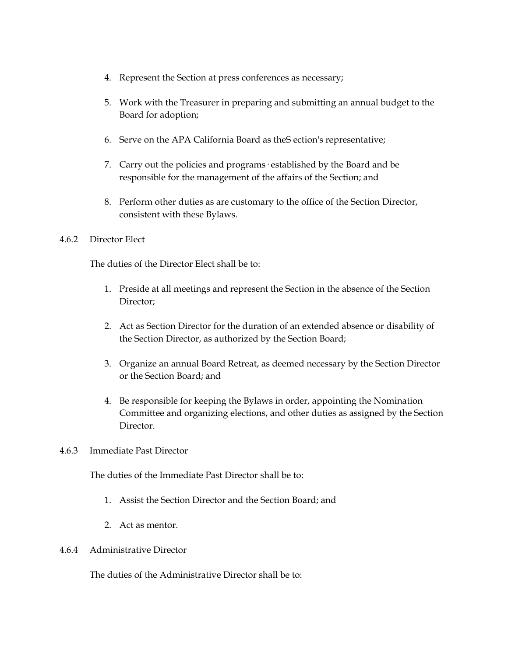- 4. Represent the Section at press conferences as necessary;
- 5. Work with the Treasurer in preparing and submitting an annual budget to the Board for adoption;
- 6. Serve on the APA California Board as theS ection's representative;
- 7. Carry out the policies and programs· established by the Board and be responsible for the management of the affairs of the Section; and
- 8. Perform other duties as are customary to the office of the Section Director, consistent with these Bylaws.

#### 4.6.2 Director Elect

The duties of the Director Elect shall be to:

- 1. Preside at all meetings and represent the Section in the absence of the Section Director;
- 2. Act as Section Director for the duration of an extended absence or disability of the Section Director, as authorized by the Section Board;
- 3. Organize an annual Board Retreat, as deemed necessary by the Section Director or the Section Board; and
- 4. Be responsible for keeping the Bylaws in order, appointing the Nomination Committee and organizing elections, and other duties as assigned by the Section Director.

#### 4.6.3 Immediate Past Director

The duties of the Immediate Past Director shall be to:

- 1. Assist the Section Director and the Section Board; and
- 2. Act as mentor.

#### 4.6.4 Administrative Director

The duties of the Administrative Director shall be to: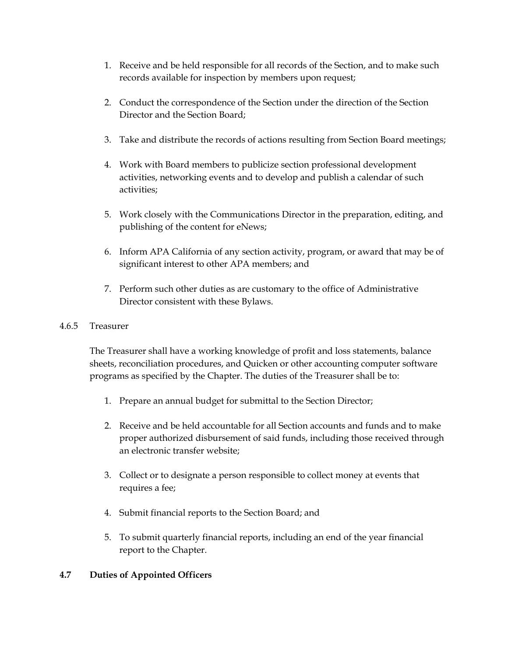- 1. Receive and be held responsible for all records of the Section, and to make such records available for inspection by members upon request;
- 2. Conduct the correspondence of the Section under the direction of the Section Director and the Section Board;
- 3. Take and distribute the records of actions resulting from Section Board meetings;
- 4. Work with Board members to publicize section professional development activities, networking events and to develop and publish a calendar of such activities;
- 5. Work closely with the Communications Director in the preparation, editing, and publishing of the content for eNews;
- 6. Inform APA California of any section activity, program, or award that may be of significant interest to other APA members; and
- 7. Perform such other duties as are customary to the office of Administrative Director consistent with these Bylaws.

## 4.6.5 Treasurer

The Treasurer shall have a working knowledge of profit and loss statements, balance sheets, reconciliation procedures, and Quicken or other accounting computer software programs as specified by the Chapter. The duties of the Treasurer shall be to:

- 1. Prepare an annual budget for submittal to the Section Director;
- 2. Receive and be held accountable for all Section accounts and funds and to make proper authorized disbursement of said funds, including those received through an electronic transfer website;
- 3. Collect or to designate a person responsible to collect money at events that requires a fee;
- 4. Submit financial reports to the Section Board; and
- 5. To submit quarterly financial reports, including an end of the year financial report to the Chapter.

# **4.7 Duties of Appointed Officers**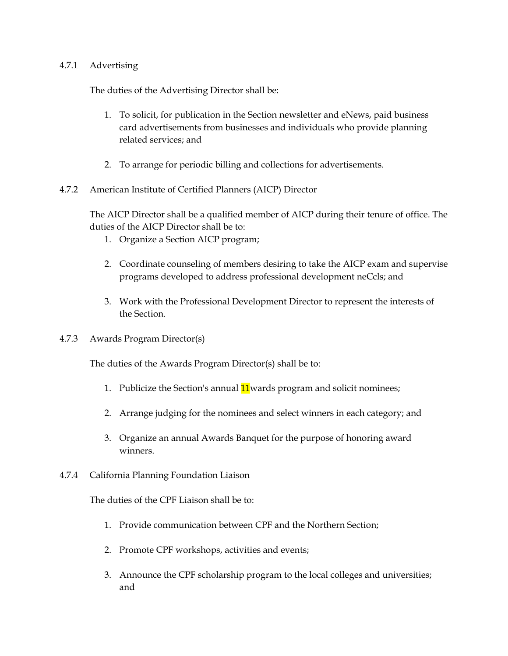#### 4.7.1 Advertising

The duties of the Advertising Director shall be:

- 1. To solicit, for publication in the Section newsletter and eNews, paid business card advertisements from businesses and individuals who provide planning related services; and
- 2. To arrange for periodic billing and collections for advertisements.
- 4.7.2 American Institute of Certified Planners (AICP) Director

The AICP Director shall be a qualified member of AICP during their tenure of office. The duties of the AICP Director shall be to:

- 1. Organize a Section AICP program;
- 2. Coordinate counseling of members desiring to take the AICP exam and supervise programs developed to address professional development neCcls; and
- 3. Work with the Professional Development Director to represent the interests of the Section.
- 4.7.3 Awards Program Director(s)

The duties of the Awards Program Director(s) shall be to:

- 1. Publicize the Section's annual **11** wards program and solicit nominees;
- 2. Arrange judging for the nominees and select winners in each category; and
- 3. Organize an annual Awards Banquet for the purpose of honoring award winners.
- 4.7.4 California Planning Foundation Liaison

The duties of the CPF Liaison shall be to:

- 1. Provide communication between CPF and the Northern Section;
- 2. Promote CPF workshops, activities and events;
- 3. Announce the CPF scholarship program to the local colleges and universities; and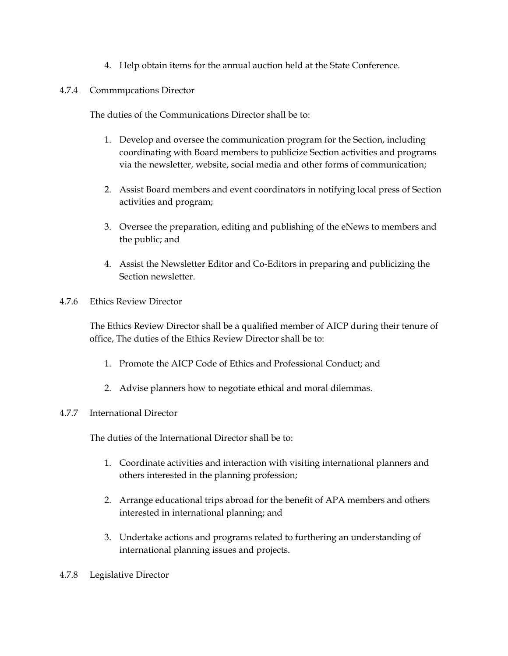- 4. Help obtain items for the annual auction held at the State Conference.
- 4.7.4 Commmμcations Director

The duties of the Communications Director shall be to:

- 1. Develop and oversee the communication program for the Section, including coordinating with Board members to publicize Section activities and programs via the newsletter, website, social media and other forms of communication;
- 2. Assist Board members and event coordinators in notifying local press of Section activities and program;
- 3. Oversee the preparation, editing and publishing of the eNews to members and the public; and
- 4. Assist the Newsletter Editor and Co-Editors in preparing and publicizing the Section newsletter.
- 4.7.6 Ethics Review Director

The Ethics Review Director shall be a qualified member of AICP during their tenure of office, The duties of the Ethics Review Director shall be to:

- 1. Promote the AICP Code of Ethics and Professional Conduct; and
- 2. Advise planners how to negotiate ethical and moral dilemmas.

## 4.7.7 International Director

The duties of the International Director shall be to:

- 1. Coordinate activities and interaction with visiting international planners and others interested in the planning profession;
- 2. Arrange educational trips abroad for the benefit of APA members and others interested in international planning; and
- 3. Undertake actions and programs related to furthering an understanding of international planning issues and projects.
- 4.7.8 Legislative Director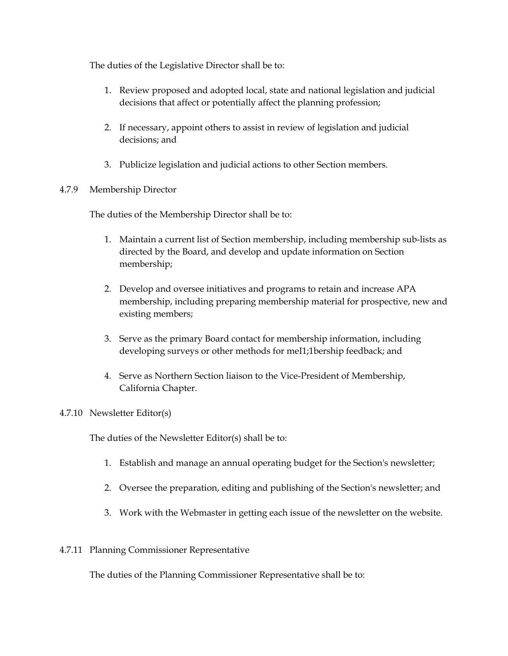The duties of the Legislative Director shall be to:

- 1. Review proposed and adopted local, state and national legislation and judicial decisions that affect or potentially affect the planning profession;
- 2. If necessary, appoint others to assist in review of legislation and judicial decisions; and
- 3. Publicize legislation and judicial actions to other Section members.

# 4.7.9 Membership Director

The duties of the Membership Director shall be to:

- 1. Maintain a current list of Section membership, including membership sub-lists as directed by the Board, and develop and update information on Section membership;
- 2. Develop and oversee initiatives and programs to retain and increase APA membership, including preparing membership material for prospective, new and existing members;
- 3. Serve as the primary Board contact for membership information, including developing surveys or other methods for meI1;1bership feedback; and
- 4. Serve as Northern Section liaison to the Vice-President of Membership, California Chapter.

# 4.7.10 Newsletter Editor(s)

The duties of the Newsletter Editor(s) shall be to:

- 1. Establish and manage an annual operating budget for the Section's newsletter;
- 2. Oversee the preparation, editing and publishing of the Section's newsletter; and
- 3. Work with the Webmaster in getting each issue of the newsletter on the website.

# 4.7.11 Planning Commissioner Representative

The duties of the Planning Commissioner Representative shall be to: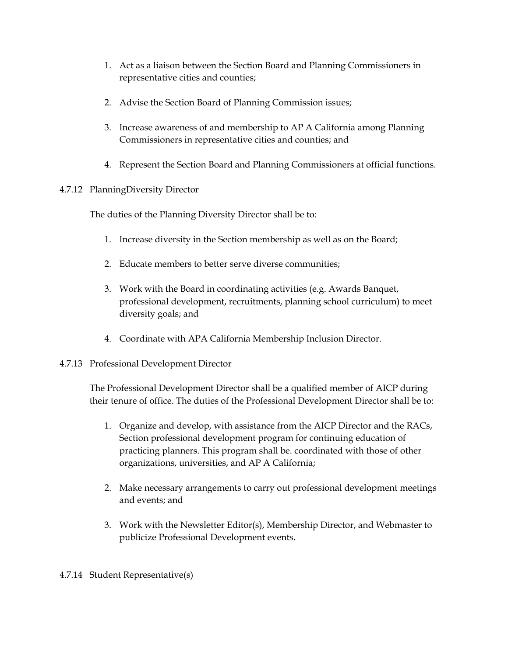- 1. Act as a liaison between the Section Board and Planning Commissioners in representative cities and counties;
- 2. Advise the Section Board of Planning Commission issues;
- 3. Increase awareness of and membership to AP A California among Planning Commissioners in representative cities and counties; and
- 4. Represent the Section Board and Planning Commissioners at official functions.

# 4.7.12 PlanningDiversity Director

The duties of the Planning Diversity Director shall be to:

- 1. Increase diversity in the Section membership as well as on the Board;
- 2. Educate members to better serve diverse communities;
- 3. Work with the Board in coordinating activities (e.g. Awards Banquet, professional development, recruitments, planning school curriculum) to meet diversity goals; and
- 4. Coordinate with APA California Membership Inclusion Director.

# 4.7.13 Professional Development Director

The Professional Development Director shall be a qualified member of AICP during their tenure of office. The duties of the Professional Development Director shall be to:

- 1. Organize and develop, with assistance from the AICP Director and the RACs, Section professional development program for continuing education of practicing planners. This program shall be. coordinated with those of other organizations, universities, and AP A California;
- 2. Make necessary arrangements to carry out professional development meetings and events; and
- 3. Work with the Newsletter Editor(s), Membership Director, and Webmaster to publicize Professional Development events.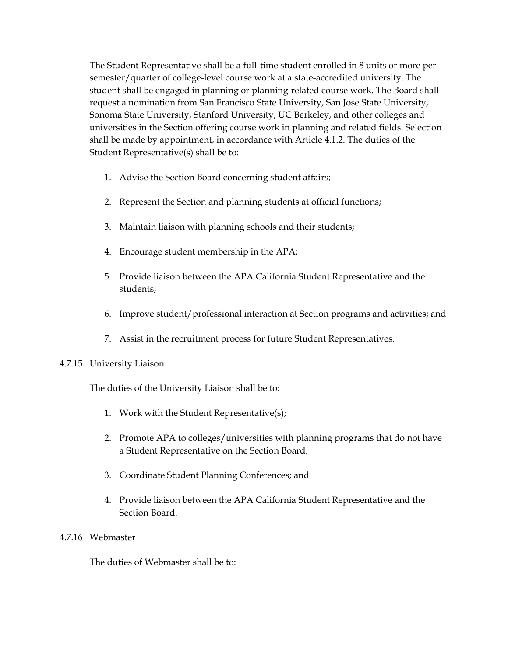The Student Representative shall be a full-time student enrolled in 8 units or more per semester/quarter of college-level course work at a state-accredited university. The student shall be engaged in planning or planning-related course work. The Board shall request a nomination from San Francisco State University, San Jose State University, Sonoma State University, Stanford University, UC Berkeley, and other colleges and universities in the Section offering course work in planning and related fields. Selection shall be made by appointment, in accordance with Article 4.1.2. The duties of the Student Representative(s) shall be to:

- 1. Advise the Section Board concerning student affairs;
- 2. Represent the Section and planning students at official functions;
- 3. Maintain liaison with planning schools and their students;
- 4. Encourage student membership in the APA;
- 5. Provide liaison between the APA California Student Representative and the students;
- 6. Improve student/professional interaction at Section programs and activities; and
- 7. Assist in the recruitment process for future Student Representatives.

## 4.7.15 University Liaison

The duties of the University Liaison shall be to:

- 1. Work with the Student Representative(s);
- 2. Promote APA to colleges/universities with planning programs that do not have a Student Representative on the Section Board;
- 3. Coordinate Student Planning Conferences; and
- 4. Provide liaison between the APA California Student Representative and the Section Board.

## 4.7.16 Webmaster

The duties of Webmaster shall be to: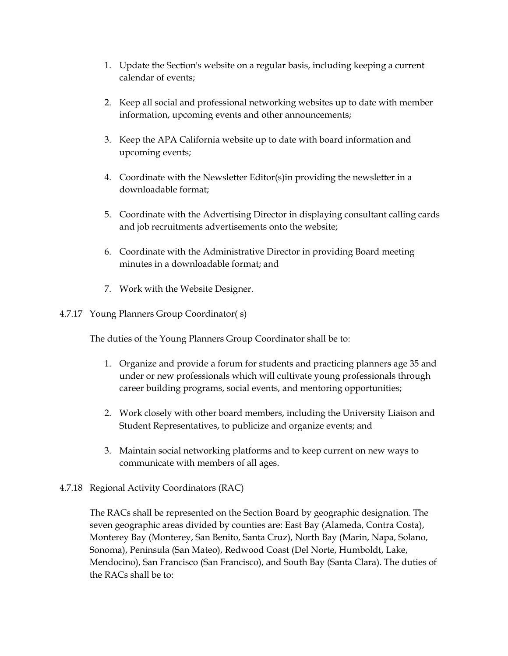- 1. Update the Section's website on a regular basis, including keeping a current calendar of events;
- 2. Keep all social and professional networking websites up to date with member information, upcoming events and other announcements;
- 3. Keep the APA California website up to date with board information and upcoming events;
- 4. Coordinate with the Newsletter Editor(s)in providing the newsletter in a downloadable format;
- 5. Coordinate with the Advertising Director in displaying consultant calling cards and job recruitments advertisements onto the website;
- 6. Coordinate with the Administrative Director in providing Board meeting minutes in a downloadable format; and
- 7. Work with the Website Designer.

# 4.7.17 Young Planners Group Coordinator( s)

The duties of the Young Planners Group Coordinator shall be to:

- 1. Organize and provide a forum for students and practicing planners age 35 and under or new professionals which will cultivate young professionals through career building programs, social events, and mentoring opportunities;
- 2. Work closely with other board members, including the University Liaison and Student Representatives, to publicize and organize events; and
- 3. Maintain social networking platforms and to keep current on new ways to communicate with members of all ages.

# 4.7.18 Regional Activity Coordinators (RAC)

The RACs shall be represented on the Section Board by geographic designation. The seven geographic areas divided by counties are: East Bay (Alameda, Contra Costa), Monterey Bay (Monterey, San Benito, Santa Cruz), North Bay (Marin, Napa, Solano, Sonoma), Peninsula (San Mateo), Redwood Coast (Del Norte, Humboldt, Lake, Mendocino), San Francisco (San Francisco), and South Bay (Santa Clara). The duties of the RACs shall be to: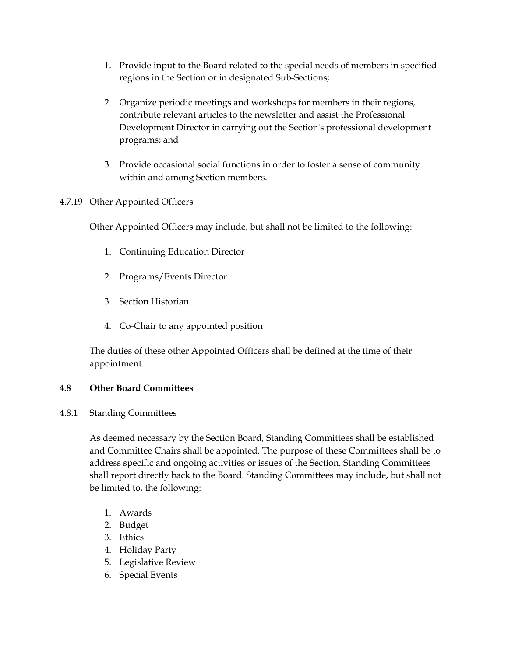- 1. Provide input to the Board related to the special needs of members in specified regions in the Section or in designated Sub-Sections;
- 2. Organize periodic meetings and workshops for members in their regions, contribute relevant articles to the newsletter and assist the Professional Development Director in carrying out the Section's professional development programs; and
- 3. Provide occasional social functions in order to foster a sense of community within and among Section members.
- 4.7.19 Other Appointed Officers

Other Appointed Officers may include, but shall not be limited to the following:

- 1. Continuing Education Director
- 2. Programs/Events Director
- 3. Section Historian
- 4. Co-Chair to any appointed position

The duties of these other Appointed Officers shall be defined at the time of their appointment.

# **4.8 Other Board Committees**

4.8.1 Standing Committees

As deemed necessary by the Section Board, Standing Committees shall be established and Committee Chairs shall be appointed. The purpose of these Committees shall be to address specific and ongoing activities or issues of the Section. Standing Committees shall report directly back to the Board. Standing Committees may include, but shall not be limited to, the following:

- 1. Awards
- 2. Budget
- 3. Ethics
- 4. Holiday Party
- 5. Legislative Review
- 6. Special Events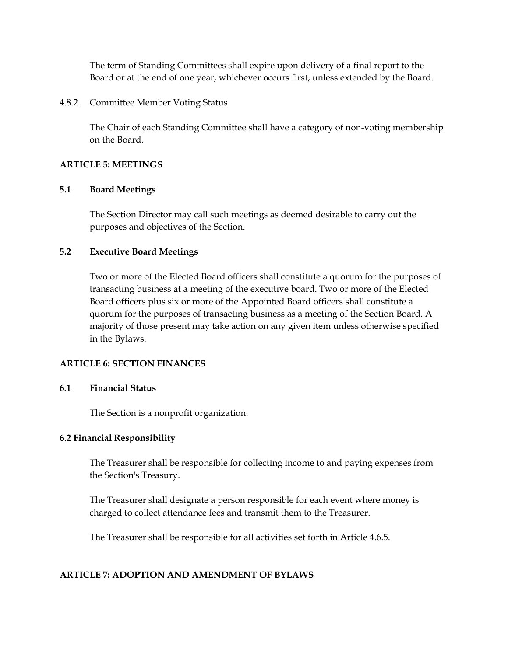The term of Standing Committees shall expire upon delivery of a final report to the Board or at the end of one year, whichever occurs first, unless extended by the Board.

4.8.2 Committee Member Voting Status

The Chair of each Standing Committee shall have a category of non-voting membership on the Board.

## **ARTICLE 5: MEETINGS**

## **5.1 Board Meetings**

The Section Director may call such meetings as deemed desirable to carry out the purposes and objectives of the Section.

## **5.2 Executive Board Meetings**

Two or more of the Elected Board officers shall constitute a quorum for the purposes of transacting business at a meeting of the executive board. Two or more of the Elected Board officers plus six or more of the Appointed Board officers shall constitute a quorum for the purposes of transacting business as a meeting of the Section Board. A majority of those present may take action on any given item unless otherwise specified in the Bylaws.

## **ARTICLE 6: SECTION FINANCES**

## **6.1 Financial Status**

The Section is a nonprofit organization.

## **6.2 Financial Responsibility**

The Treasurer shall be responsible for collecting income to and paying expenses from the Section's Treasury.

The Treasurer shall designate a person responsible for each event where money is charged to collect attendance fees and transmit them to the Treasurer.

The Treasurer shall be responsible for all activities set forth in Article 4.6.5.

# **ARTICLE 7: ADOPTION AND AMENDMENT OF BYLAWS**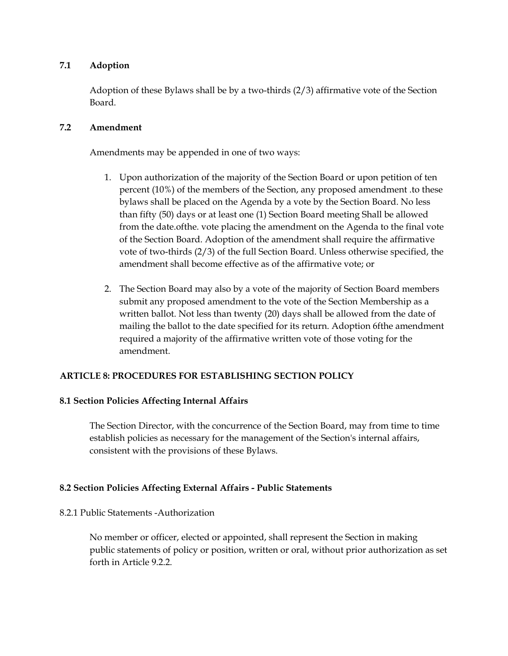## **7.1 Adoption**

Adoption of these Bylaws shall be by a two-thirds (2/3) affirmative vote of the Section Board.

## **7.2 Amendment**

Amendments may be appended in one of two ways:

- 1. Upon authorization of the majority of the Section Board or upon petition of ten percent (10%) of the members of the Section, any proposed amendment .to these bylaws shall be placed on the Agenda by a vote by the Section Board. No less than fifty (50) days or at least one (1) Section Board meeting Shall be allowed from the date.ofthe. vote placing the amendment on the Agenda to the final vote of the Section Board. Adoption of the amendment shall require the affirmative vote of two-thirds (2/3) of the full Section Board. Unless otherwise specified, the amendment shall become effective as of the affirmative vote; or
- 2. The Section Board may also by a vote of the majority of Section Board members submit any proposed amendment to the vote of the Section Membership as a written ballot. Not less than twenty (20) days shall be allowed from the date of mailing the ballot to the date specified for its return. Adoption 6fthe amendment required a majority of the affirmative written vote of those voting for the amendment.

# **ARTICLE 8: PROCEDURES FOR ESTABLISHING SECTION POLICY**

# **8.1 Section Policies Affecting Internal Affairs**

The Section Director, with the concurrence of the Section Board, may from time to time establish policies as necessary for the management of the Section's internal affairs, consistent with the provisions of these Bylaws.

# **8.2 Section Policies Affecting External Affairs - Public Statements**

## 8.2.1 Public Statements -Authorization

No member or officer, elected or appointed, shall represent the Section in making public statements of policy or position, written or oral, without prior authorization as set forth in Article 9.2.2.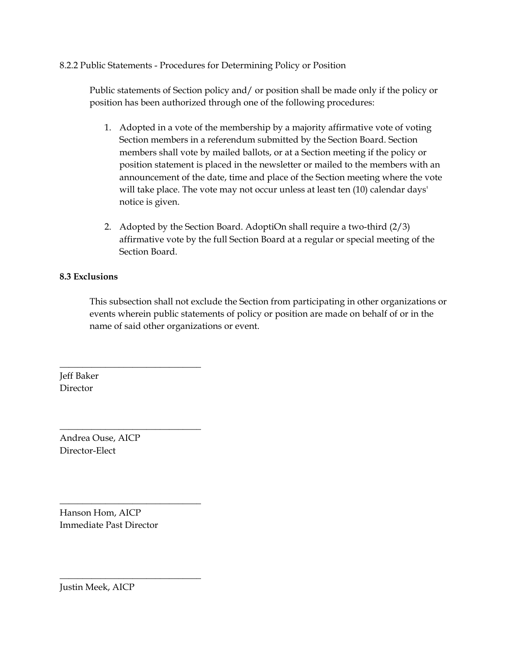## 8.2.2 Public Statements - Procedures for Determining Policy or Position

Public statements of Section policy and/ or position shall be made only if the policy or position has been authorized through one of the following procedures:

- 1. Adopted in a vote of the membership by a majority affirmative vote of voting Section members in a referendum submitted by the Section Board. Section members shall vote by mailed ballots, or at a Section meeting if the policy or position statement is placed in the newsletter or mailed to the members with an announcement of the date, time and place of the Section meeting where the vote will take place. The vote may not occur unless at least ten (10) calendar days' notice is given.
- 2. Adopted by the Section Board. AdoptiOn shall require a two-third (2/3) affirmative vote by the full Section Board at a regular or special meeting of the Section Board.

## **8.3 Exclusions**

This subsection shall not exclude the Section from participating in other organizations or events wherein public statements of policy or position are made on behalf of or in the name of said other organizations or event.

Jeff Baker Director

Andrea Ouse, AICP Director-Elect

\_\_\_\_\_\_\_\_\_\_\_\_\_\_\_\_\_\_\_\_\_\_\_\_\_\_\_\_\_\_\_

\_\_\_\_\_\_\_\_\_\_\_\_\_\_\_\_\_\_\_\_\_\_\_\_\_\_\_\_\_\_\_

\_\_\_\_\_\_\_\_\_\_\_\_\_\_\_\_\_\_\_\_\_\_\_\_\_\_\_\_\_\_\_

\_\_\_\_\_\_\_\_\_\_\_\_\_\_\_\_\_\_\_\_\_\_\_\_\_\_\_\_\_\_\_

Hanson Hom, AICP Immediate Past Director

Justin Meek, AICP